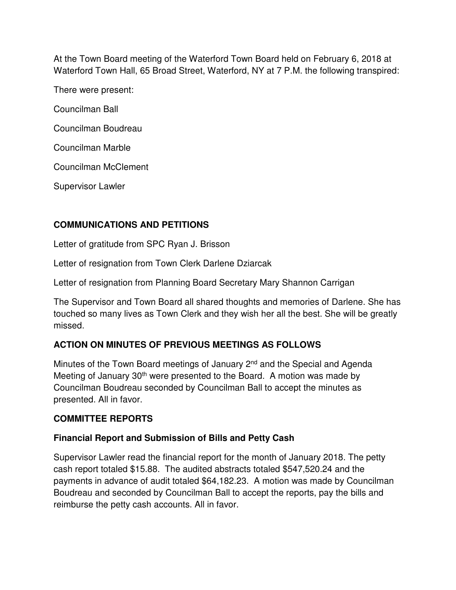At the Town Board meeting of the Waterford Town Board held on February 6, 2018 at Waterford Town Hall, 65 Broad Street, Waterford, NY at 7 P.M. the following transpired:

There were present:

Councilman Ball

Councilman Boudreau

Councilman Marble

Councilman McClement

Supervisor Lawler

# **COMMUNICATIONS AND PETITIONS**

Letter of gratitude from SPC Ryan J. Brisson

Letter of resignation from Town Clerk Darlene Dziarcak

Letter of resignation from Planning Board Secretary Mary Shannon Carrigan

The Supervisor and Town Board all shared thoughts and memories of Darlene. She has touched so many lives as Town Clerk and they wish her all the best. She will be greatly missed.

# **ACTION ON MINUTES OF PREVIOUS MEETINGS AS FOLLOWS**

Minutes of the Town Board meetings of January 2<sup>nd</sup> and the Special and Agenda Meeting of January 30<sup>th</sup> were presented to the Board. A motion was made by Councilman Boudreau seconded by Councilman Ball to accept the minutes as presented. All in favor.

# **COMMITTEE REPORTS**

# **Financial Report and Submission of Bills and Petty Cash**

Supervisor Lawler read the financial report for the month of January 2018. The petty cash report totaled \$15.88. The audited abstracts totaled \$547,520.24 and the payments in advance of audit totaled \$64,182.23. A motion was made by Councilman Boudreau and seconded by Councilman Ball to accept the reports, pay the bills and reimburse the petty cash accounts. All in favor.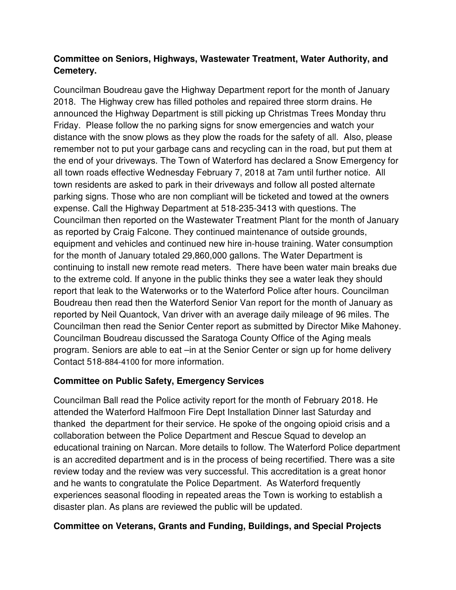# **Committee on Seniors, Highways, Wastewater Treatment, Water Authority, and Cemetery.**

Councilman Boudreau gave the Highway Department report for the month of January 2018. The Highway crew has filled potholes and repaired three storm drains. He announced the Highway Department is still picking up Christmas Trees Monday thru Friday. Please follow the no parking signs for snow emergencies and watch your distance with the snow plows as they plow the roads for the safety of all. Also, please remember not to put your garbage cans and recycling can in the road, but put them at the end of your driveways. The Town of Waterford has declared a Snow Emergency for all town roads effective Wednesday February 7, 2018 at 7am until further notice. All town residents are asked to park in their driveways and follow all posted alternate parking signs. Those who are non compliant will be ticketed and towed at the owners expense. Call the Highway Department at 518-235-3413 with questions. The Councilman then reported on the Wastewater Treatment Plant for the month of January as reported by Craig Falcone. They continued maintenance of outside grounds, equipment and vehicles and continued new hire in-house training. Water consumption for the month of January totaled 29,860,000 gallons. The Water Department is continuing to install new remote read meters. There have been water main breaks due to the extreme cold. If anyone in the public thinks they see a water leak they should report that leak to the Waterworks or to the Waterford Police after hours. Councilman Boudreau then read then the Waterford Senior Van report for the month of January as reported by Neil Quantock, Van driver with an average daily mileage of 96 miles. The Councilman then read the Senior Center report as submitted by Director Mike Mahoney. Councilman Boudreau discussed the Saratoga County Office of the Aging meals program. Seniors are able to eat –in at the Senior Center or sign up for home delivery Contact 518-884-4100 for more information.

# **Committee on Public Safety, Emergency Services**

Councilman Ball read the Police activity report for the month of February 2018. He attended the Waterford Halfmoon Fire Dept Installation Dinner last Saturday and thanked the department for their service. He spoke of the ongoing opioid crisis and a collaboration between the Police Department and Rescue Squad to develop an educational training on Narcan. More details to follow. The Waterford Police department is an accredited department and is in the process of being recertified. There was a site review today and the review was very successful. This accreditation is a great honor and he wants to congratulate the Police Department. As Waterford frequently experiences seasonal flooding in repeated areas the Town is working to establish a disaster plan. As plans are reviewed the public will be updated.

# **Committee on Veterans, Grants and Funding, Buildings, and Special Projects**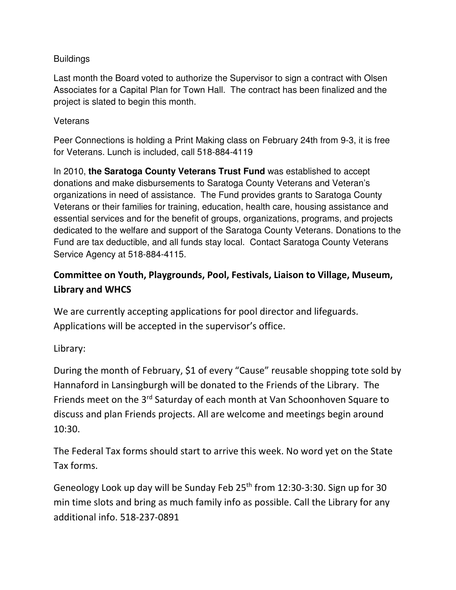# **Buildings**

Last month the Board voted to authorize the Supervisor to sign a contract with Olsen Associates for a Capital Plan for Town Hall. The contract has been finalized and the project is slated to begin this month.

## **Veterans**

Peer Connections is holding a Print Making class on February 24th from 9-3, it is free for Veterans. Lunch is included, call 518-884-4119

In 2010, **the Saratoga County Veterans Trust Fund** was established to accept donations and make disbursements to Saratoga County Veterans and Veteran's organizations in need of assistance. The Fund provides grants to Saratoga County Veterans or their families for training, education, health care, housing assistance and essential services and for the benefit of groups, organizations, programs, and projects dedicated to the welfare and support of the Saratoga County Veterans. Donations to the Fund are tax deductible, and all funds stay local. Contact Saratoga County Veterans Service Agency at 518-884-4115.

# **Committee on Youth, Playgrounds, Pool, Festivals, Liaison to Village, Museum, Library and WHCS**

We are currently accepting applications for pool director and lifeguards. Applications will be accepted in the supervisor's office.

Library:

During the month of February, \$1 of every "Cause" reusable shopping tote sold by Hannaford in Lansingburgh will be donated to the Friends of the Library. The Friends meet on the 3<sup>rd</sup> Saturday of each month at Van Schoonhoven Square to discuss and plan Friends projects. All are welcome and meetings begin around 10:30.

The Federal Tax forms should start to arrive this week. No word yet on the State Tax forms.

Geneology Look up day will be Sunday Feb 25<sup>th</sup> from 12:30-3:30. Sign up for 30 min time slots and bring as much family info as possible. Call the Library for any additional info. 518-237-0891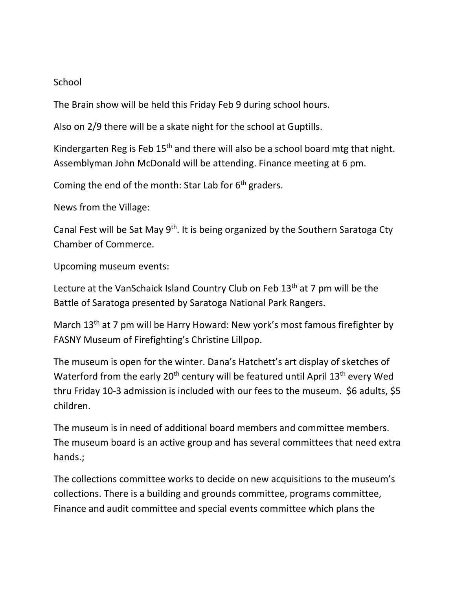## **School**

The Brain show will be held this Friday Feb 9 during school hours.

Also on 2/9 there will be a skate night for the school at Guptills.

Kindergarten Reg is Feb 15<sup>th</sup> and there will also be a school board mtg that night. Assemblyman John McDonald will be attending. Finance meeting at 6 pm.

Coming the end of the month: Star Lab for  $6<sup>th</sup>$  graders.

News from the Village:

Canal Fest will be Sat May 9<sup>th</sup>. It is being organized by the Southern Saratoga Cty Chamber of Commerce.

Upcoming museum events:

Lecture at the VanSchaick Island Country Club on Feb 13<sup>th</sup> at 7 pm will be the Battle of Saratoga presented by Saratoga National Park Rangers.

March 13<sup>th</sup> at 7 pm will be Harry Howard: New york's most famous firefighter by FASNY Museum of Firefighting's Christine Lillpop.

The museum is open for the winter. Dana's Hatchett's art display of sketches of Waterford from the early 20<sup>th</sup> century will be featured until April 13<sup>th</sup> every Wed thru Friday 10-3 admission is included with our fees to the museum. \$6 adults, \$5 children.

The museum is in need of additional board members and committee members. The museum board is an active group and has several committees that need extra hands.;

The collections committee works to decide on new acquisitions to the museum's collections. There is a building and grounds committee, programs committee, Finance and audit committee and special events committee which plans the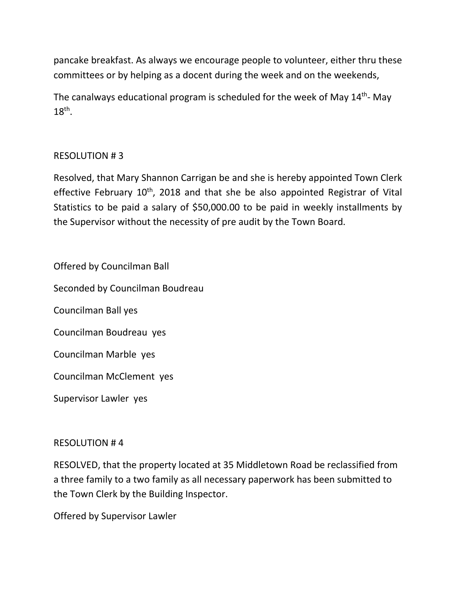pancake breakfast. As always we encourage people to volunteer, either thru these committees or by helping as a docent during the week and on the weekends,

The canalways educational program is scheduled for the week of May 14th- May  $18<sup>th</sup>$ .

# RESOLUTION # 3

Resolved, that Mary Shannon Carrigan be and she is hereby appointed Town Clerk effective February 10<sup>th</sup>, 2018 and that she be also appointed Registrar of Vital Statistics to be paid a salary of \$50,000.00 to be paid in weekly installments by the Supervisor without the necessity of pre audit by the Town Board.

Offered by Councilman Ball Seconded by Councilman Boudreau Councilman Ball yes Councilman Boudreau yes Councilman Marble yes Councilman McClement yes Supervisor Lawler yes

# RESOLUTION # 4

RESOLVED, that the property located at 35 Middletown Road be reclassified from a three family to a two family as all necessary paperwork has been submitted to the Town Clerk by the Building Inspector.

Offered by Supervisor Lawler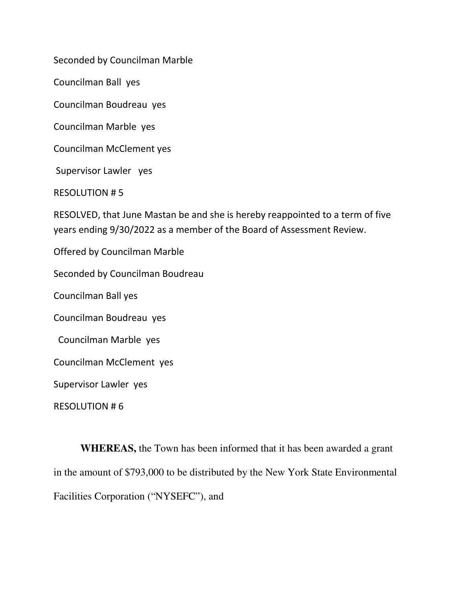Seconded by Councilman Marble

Councilman Ball yes

Councilman Boudreau yes

Councilman Marble yes

Councilman McClement yes

Supervisor Lawler yes

RESOLUTION # 5

RESOLVED, that June Mastan be and she is hereby reappointed to a term of five years ending 9/30/2022 as a member of the Board of Assessment Review.

Offered by Councilman Marble

Seconded by Councilman Boudreau

Councilman Ball yes

Councilman Boudreau yes

Councilman Marble yes

Councilman McClement yes

Supervisor Lawler yes

RESOLUTION # 6

**WHEREAS,** the Town has been informed that it has been awarded a grant in the amount of \$793,000 to be distributed by the New York State Environmental Facilities Corporation ("NYSEFC"), and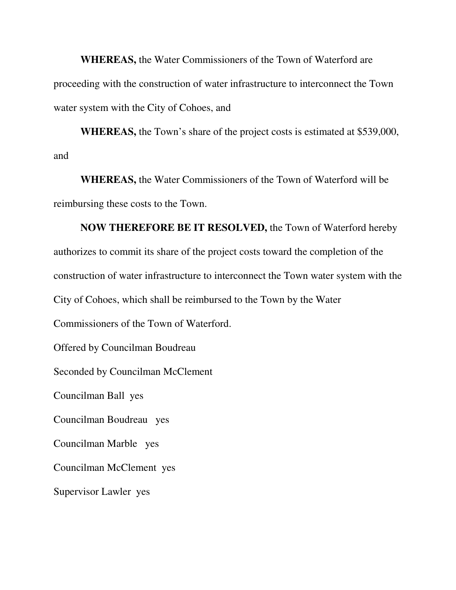**WHEREAS,** the Water Commissioners of the Town of Waterford are proceeding with the construction of water infrastructure to interconnect the Town water system with the City of Cohoes, and

 **WHEREAS,** the Town's share of the project costs is estimated at \$539,000, and

 **WHEREAS,** the Water Commissioners of the Town of Waterford will be reimbursing these costs to the Town.

 **NOW THEREFORE BE IT RESOLVED,** the Town of Waterford hereby authorizes to commit its share of the project costs toward the completion of the construction of water infrastructure to interconnect the Town water system with the City of Cohoes, which shall be reimbursed to the Town by the Water Commissioners of the Town of Waterford. Offered by Councilman Boudreau Seconded by Councilman McClement

Councilman Ball yes

Councilman Boudreau yes

Councilman Marble yes

Councilman McClement yes

Supervisor Lawler yes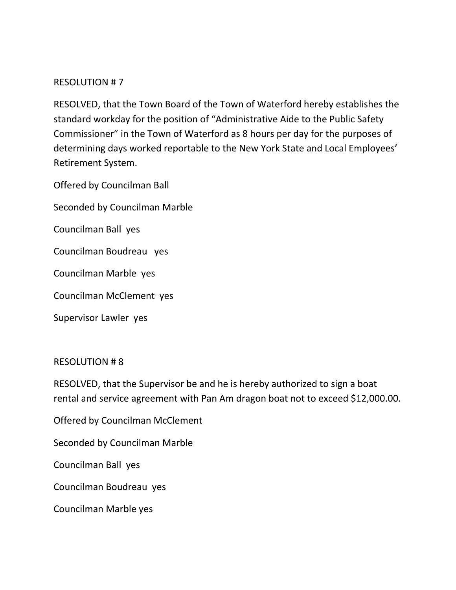## RESOLUTION # 7

RESOLVED, that the Town Board of the Town of Waterford hereby establishes the standard workday for the position of "Administrative Aide to the Public Safety Commissioner" in the Town of Waterford as 8 hours per day for the purposes of determining days worked reportable to the New York State and Local Employees' Retirement System.

Offered by Councilman Ball

Seconded by Councilman Marble

Councilman Ball yes

Councilman Boudreau yes

Councilman Marble yes

Councilman McClement yes

Supervisor Lawler yes

## RESOLUTION # 8

RESOLVED, that the Supervisor be and he is hereby authorized to sign a boat rental and service agreement with Pan Am dragon boat not to exceed \$12,000.00.

Offered by Councilman McClement

Seconded by Councilman Marble

Councilman Ball yes

Councilman Boudreau yes

Councilman Marble yes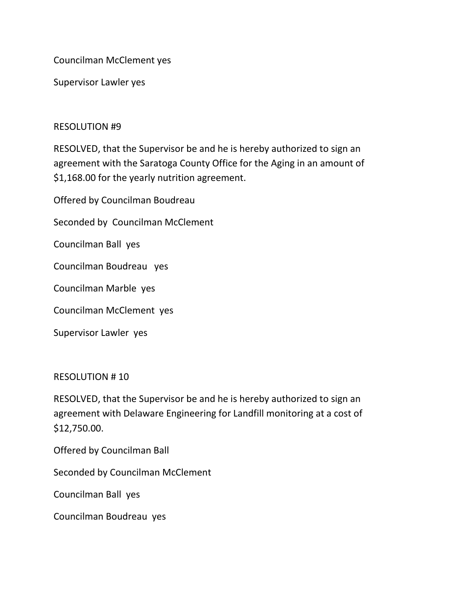Councilman McClement yes

Supervisor Lawler yes

## RESOLUTION #9

RESOLVED, that the Supervisor be and he is hereby authorized to sign an agreement with the Saratoga County Office for the Aging in an amount of \$1,168.00 for the yearly nutrition agreement.

Offered by Councilman Boudreau

Seconded by Councilman McClement

Councilman Ball yes

Councilman Boudreau yes

Councilman Marble yes

Councilman McClement yes

Supervisor Lawler yes

## RESOLUTION # 10

RESOLVED, that the Supervisor be and he is hereby authorized to sign an agreement with Delaware Engineering for Landfill monitoring at a cost of \$12,750.00.

Offered by Councilman Ball

Seconded by Councilman McClement

Councilman Ball yes

Councilman Boudreau yes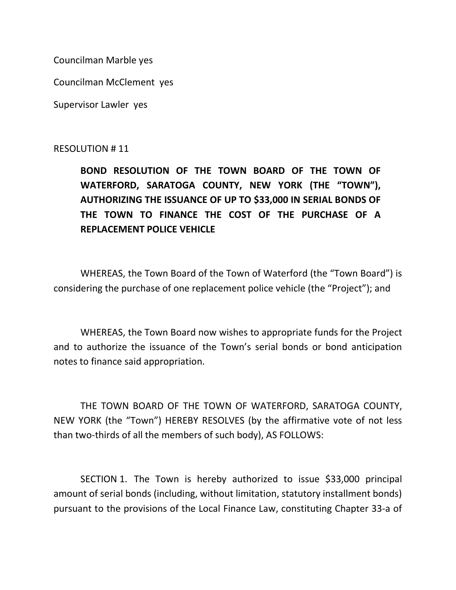Councilman Marble yes

Councilman McClement yes

Supervisor Lawler yes

## RESOLUTION # 11

**BOND RESOLUTION OF THE TOWN BOARD OF THE TOWN OF WATERFORD, SARATOGA COUNTY, NEW YORK (THE "TOWN"), AUTHORIZING THE ISSUANCE OF UP TO \$33,000 IN SERIAL BONDS OF THE TOWN TO FINANCE THE COST OF THE PURCHASE OF A REPLACEMENT POLICE VEHICLE** 

WHEREAS, the Town Board of the Town of Waterford (the "Town Board") is considering the purchase of one replacement police vehicle (the "Project"); and

WHEREAS, the Town Board now wishes to appropriate funds for the Project and to authorize the issuance of the Town's serial bonds or bond anticipation notes to finance said appropriation.

THE TOWN BOARD OF THE TOWN OF WATERFORD, SARATOGA COUNTY, NEW YORK (the "Town") HEREBY RESOLVES (by the affirmative vote of not less than two-thirds of all the members of such body), AS FOLLOWS:

SECTION 1. The Town is hereby authorized to issue \$33,000 principal amount of serial bonds (including, without limitation, statutory installment bonds) pursuant to the provisions of the Local Finance Law, constituting Chapter 33-a of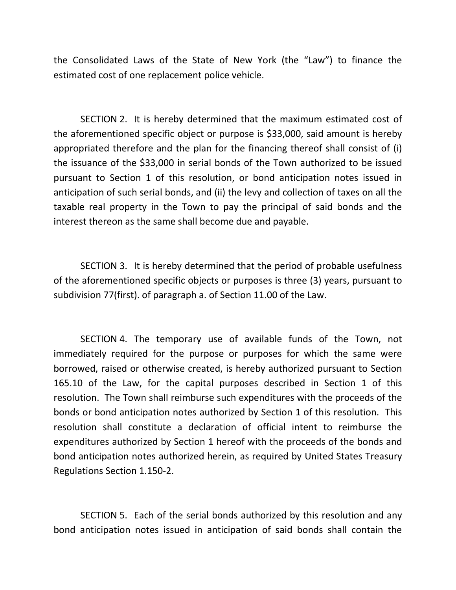the Consolidated Laws of the State of New York (the "Law") to finance the estimated cost of one replacement police vehicle.

SECTION 2. It is hereby determined that the maximum estimated cost of the aforementioned specific object or purpose is \$33,000, said amount is hereby appropriated therefore and the plan for the financing thereof shall consist of (i) the issuance of the \$33,000 in serial bonds of the Town authorized to be issued pursuant to Section 1 of this resolution, or bond anticipation notes issued in anticipation of such serial bonds, and (ii) the levy and collection of taxes on all the taxable real property in the Town to pay the principal of said bonds and the interest thereon as the same shall become due and payable.

SECTION 3. It is hereby determined that the period of probable usefulness of the aforementioned specific objects or purposes is three (3) years, pursuant to subdivision 77(first). of paragraph a. of Section 11.00 of the Law.

SECTION 4. The temporary use of available funds of the Town, not immediately required for the purpose or purposes for which the same were borrowed, raised or otherwise created, is hereby authorized pursuant to Section 165.10 of the Law, for the capital purposes described in Section 1 of this resolution. The Town shall reimburse such expenditures with the proceeds of the bonds or bond anticipation notes authorized by Section 1 of this resolution. This resolution shall constitute a declaration of official intent to reimburse the expenditures authorized by Section 1 hereof with the proceeds of the bonds and bond anticipation notes authorized herein, as required by United States Treasury Regulations Section 1.150-2.

SECTION 5. Each of the serial bonds authorized by this resolution and any bond anticipation notes issued in anticipation of said bonds shall contain the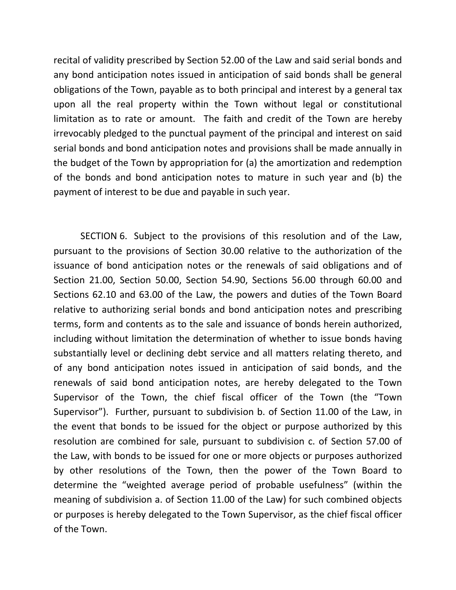recital of validity prescribed by Section 52.00 of the Law and said serial bonds and any bond anticipation notes issued in anticipation of said bonds shall be general obligations of the Town, payable as to both principal and interest by a general tax upon all the real property within the Town without legal or constitutional limitation as to rate or amount. The faith and credit of the Town are hereby irrevocably pledged to the punctual payment of the principal and interest on said serial bonds and bond anticipation notes and provisions shall be made annually in the budget of the Town by appropriation for (a) the amortization and redemption of the bonds and bond anticipation notes to mature in such year and (b) the payment of interest to be due and payable in such year.

SECTION 6. Subject to the provisions of this resolution and of the Law, pursuant to the provisions of Section 30.00 relative to the authorization of the issuance of bond anticipation notes or the renewals of said obligations and of Section 21.00, Section 50.00, Section 54.90, Sections 56.00 through 60.00 and Sections 62.10 and 63.00 of the Law, the powers and duties of the Town Board relative to authorizing serial bonds and bond anticipation notes and prescribing terms, form and contents as to the sale and issuance of bonds herein authorized, including without limitation the determination of whether to issue bonds having substantially level or declining debt service and all matters relating thereto, and of any bond anticipation notes issued in anticipation of said bonds, and the renewals of said bond anticipation notes, are hereby delegated to the Town Supervisor of the Town, the chief fiscal officer of the Town (the "Town Supervisor"). Further, pursuant to subdivision b. of Section 11.00 of the Law, in the event that bonds to be issued for the object or purpose authorized by this resolution are combined for sale, pursuant to subdivision c. of Section 57.00 of the Law, with bonds to be issued for one or more objects or purposes authorized by other resolutions of the Town, then the power of the Town Board to determine the "weighted average period of probable usefulness" (within the meaning of subdivision a. of Section 11.00 of the Law) for such combined objects or purposes is hereby delegated to the Town Supervisor, as the chief fiscal officer of the Town.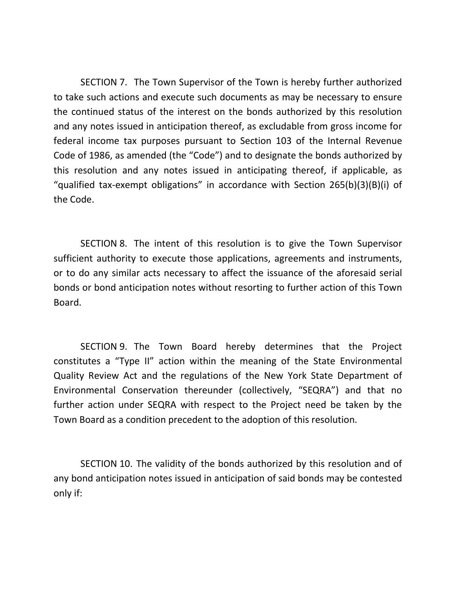SECTION 7. The Town Supervisor of the Town is hereby further authorized to take such actions and execute such documents as may be necessary to ensure the continued status of the interest on the bonds authorized by this resolution and any notes issued in anticipation thereof, as excludable from gross income for federal income tax purposes pursuant to Section 103 of the Internal Revenue Code of 1986, as amended (the "Code") and to designate the bonds authorized by this resolution and any notes issued in anticipating thereof, if applicable, as "qualified tax-exempt obligations" in accordance with Section 265(b)(3)(B)(i) of the Code.

SECTION 8. The intent of this resolution is to give the Town Supervisor sufficient authority to execute those applications, agreements and instruments, or to do any similar acts necessary to affect the issuance of the aforesaid serial bonds or bond anticipation notes without resorting to further action of this Town Board.

SECTION 9. The Town Board hereby determines that the Project constitutes a "Type II" action within the meaning of the State Environmental Quality Review Act and the regulations of the New York State Department of Environmental Conservation thereunder (collectively, "SEQRA") and that no further action under SEQRA with respect to the Project need be taken by the Town Board as a condition precedent to the adoption of this resolution.

SECTION 10. The validity of the bonds authorized by this resolution and of any bond anticipation notes issued in anticipation of said bonds may be contested only if: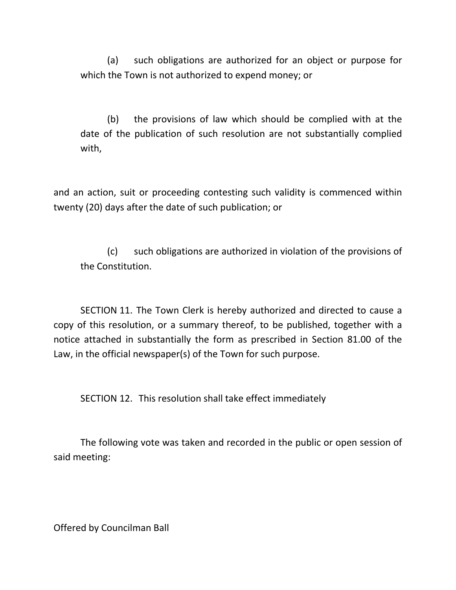(a) such obligations are authorized for an object or purpose for which the Town is not authorized to expend money; or

(b) the provisions of law which should be complied with at the date of the publication of such resolution are not substantially complied with,

and an action, suit or proceeding contesting such validity is commenced within twenty (20) days after the date of such publication; or

(c) such obligations are authorized in violation of the provisions of the Constitution.

SECTION 11. The Town Clerk is hereby authorized and directed to cause a copy of this resolution, or a summary thereof, to be published, together with a notice attached in substantially the form as prescribed in Section 81.00 of the Law, in the official newspaper(s) of the Town for such purpose.

SECTION 12. This resolution shall take effect immediately

The following vote was taken and recorded in the public or open session of said meeting:

Offered by Councilman Ball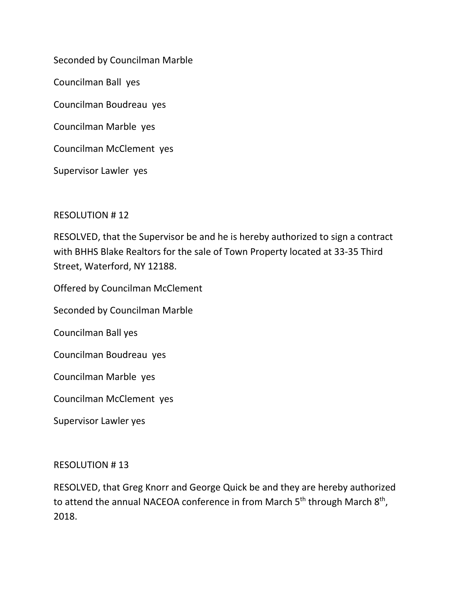Seconded by Councilman Marble

Councilman Ball yes

Councilman Boudreau yes

Councilman Marble yes

Councilman McClement yes

Supervisor Lawler yes

## RESOLUTION # 12

RESOLVED, that the Supervisor be and he is hereby authorized to sign a contract with BHHS Blake Realtors for the sale of Town Property located at 33-35 Third Street, Waterford, NY 12188.

Offered by Councilman McClement

Seconded by Councilman Marble

Councilman Ball yes

Councilman Boudreau yes

Councilman Marble yes

Councilman McClement yes

Supervisor Lawler yes

## RESOLUTION # 13

RESOLVED, that Greg Knorr and George Quick be and they are hereby authorized to attend the annual NACEOA conference in from March  $5<sup>th</sup>$  through March  $8<sup>th</sup>$ , 2018.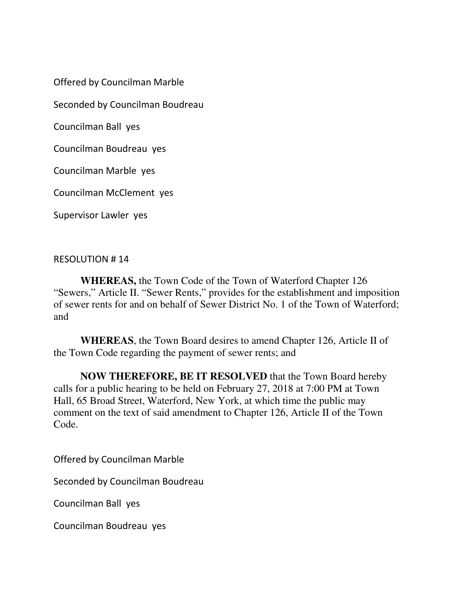Offered by Councilman Marble

Seconded by Councilman Boudreau

Councilman Ball yes

Councilman Boudreau yes

Councilman Marble yes

Councilman McClement yes

Supervisor Lawler yes

## RESOLUTION # 14

**WHEREAS,** the Town Code of the Town of Waterford Chapter 126 "Sewers," Article II. "Sewer Rents," provides for the establishment and imposition of sewer rents for and on behalf of Sewer District No. 1 of the Town of Waterford; and

**WHEREAS**, the Town Board desires to amend Chapter 126, Article II of the Town Code regarding the payment of sewer rents; and

**NOW THEREFORE, BE IT RESOLVED** that the Town Board hereby calls for a public hearing to be held on February 27, 2018 at 7:00 PM at Town Hall, 65 Broad Street, Waterford, New York, at which time the public may comment on the text of said amendment to Chapter 126, Article II of the Town Code.

Offered by Councilman Marble

Seconded by Councilman Boudreau

Councilman Ball yes

Councilman Boudreau yes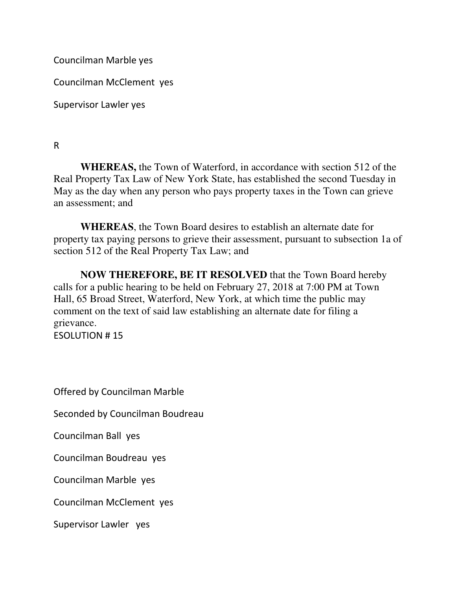Councilman Marble yes

Councilman McClement yes

Supervisor Lawler yes

R

**WHEREAS,** the Town of Waterford, in accordance with section 512 of the Real Property Tax Law of New York State, has established the second Tuesday in May as the day when any person who pays property taxes in the Town can grieve an assessment; and

**WHEREAS**, the Town Board desires to establish an alternate date for property tax paying persons to grieve their assessment, pursuant to subsection 1a of section 512 of the Real Property Tax Law; and

**NOW THEREFORE, BE IT RESOLVED** that the Town Board hereby calls for a public hearing to be held on February 27, 2018 at 7:00 PM at Town Hall, 65 Broad Street, Waterford, New York, at which time the public may comment on the text of said law establishing an alternate date for filing a grievance.

ESOLUTION # 15

Offered by Councilman Marble

Seconded by Councilman Boudreau

Councilman Ball yes

Councilman Boudreau yes

Councilman Marble yes

Councilman McClement yes

Supervisor Lawler yes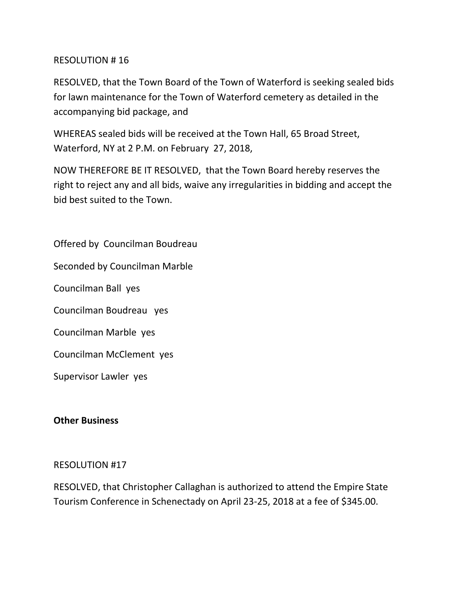## RESOLUTION # 16

RESOLVED, that the Town Board of the Town of Waterford is seeking sealed bids for lawn maintenance for the Town of Waterford cemetery as detailed in the accompanying bid package, and

WHEREAS sealed bids will be received at the Town Hall, 65 Broad Street, Waterford, NY at 2 P.M. on February 27, 2018,

NOW THEREFORE BE IT RESOLVED, that the Town Board hereby reserves the right to reject any and all bids, waive any irregularities in bidding and accept the bid best suited to the Town.

Offered by Councilman Boudreau

Seconded by Councilman Marble

Councilman Ball yes

Councilman Boudreau yes

Councilman Marble yes

Councilman McClement yes

Supervisor Lawler yes

## **Other Business**

## RESOLUTION #17

RESOLVED, that Christopher Callaghan is authorized to attend the Empire State Tourism Conference in Schenectady on April 23-25, 2018 at a fee of \$345.00.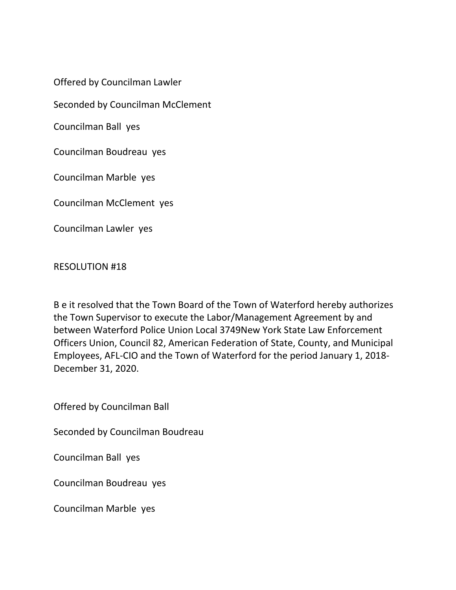Offered by Councilman Lawler

Seconded by Councilman McClement

Councilman Ball yes

Councilman Boudreau yes

Councilman Marble yes

Councilman McClement yes

Councilman Lawler yes

RESOLUTION #18

B e it resolved that the Town Board of the Town of Waterford hereby authorizes the Town Supervisor to execute the Labor/Management Agreement by and between Waterford Police Union Local 3749New York State Law Enforcement Officers Union, Council 82, American Federation of State, County, and Municipal Employees, AFL-CIO and the Town of Waterford for the period January 1, 2018- December 31, 2020.

Offered by Councilman Ball

Seconded by Councilman Boudreau

Councilman Ball yes

Councilman Boudreau yes

Councilman Marble yes